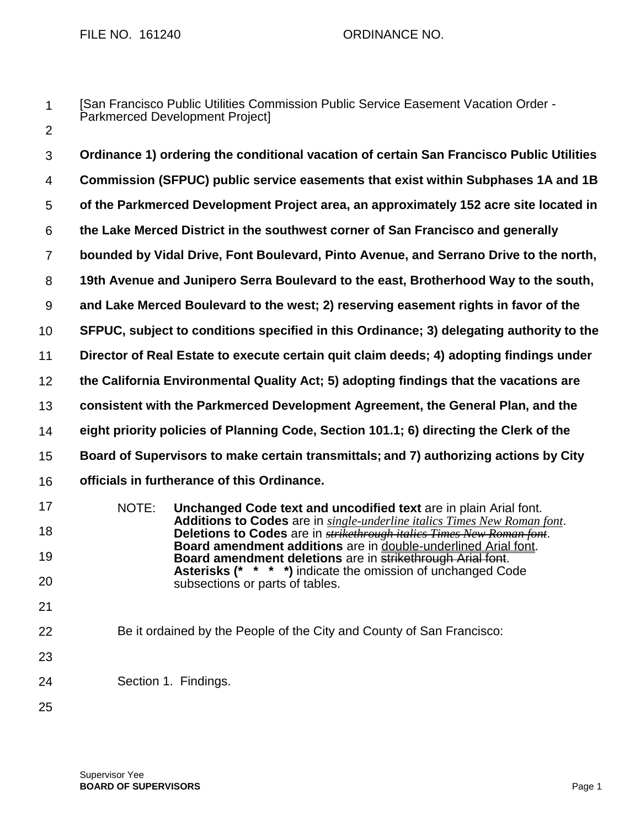FILE NO. 161240 CRDINANCE NO.

[San Francisco Public Utilities Commission Public Service Easement Vacation Order - Parkmerced Development Project]

2

3 4 5 6 7 8 9 10 11 12 13 14 15 16 17 18 19 20 21 22 **Ordinance 1) ordering the conditional vacation of certain San Francisco Public Utilities Commission (SFPUC) public service easements that exist within Subphases 1A and 1B of the Parkmerced Development Project area, an approximately 152 acre site located in the Lake Merced District in the southwest corner of San Francisco and generally bounded by Vidal Drive, Font Boulevard, Pinto Avenue, and Serrano Drive to the north, 19th Avenue and Junipero Serra Boulevard to the east, Brotherhood Way to the south, and Lake Merced Boulevard to the west; 2) reserving easement rights in favor of the SFPUC, subject to conditions specified in this Ordinance; 3) delegating authority to the Director of Real Estate to execute certain quit claim deeds; 4) adopting findings under the California Environmental Quality Act; 5) adopting findings that the vacations are consistent with the Parkmerced Development Agreement, the General Plan, and the eight priority policies of Planning Code, Section 101.1; 6) directing the Clerk of the Board of Supervisors to make certain transmittals; and 7) authorizing actions by City officials in furtherance of this Ordinance.** NOTE: **Unchanged Code text and uncodified text** are in plain Arial font. **Additions to Codes** are in *single-underline italics Times New Roman font*. **Deletions to Codes** are in *strikethrough italics Times New Roman font*. **Board amendment additions** are in double-underlined Arial font. **Board amendment deletions** are in **strikethrough Arial font. Asterisks (\* \* \* \*)** indicate the omission of unchanged Code subsections or parts of tables. Be it ordained by the People of the City and County of San Francisco:

23

Section 1. Findings.

25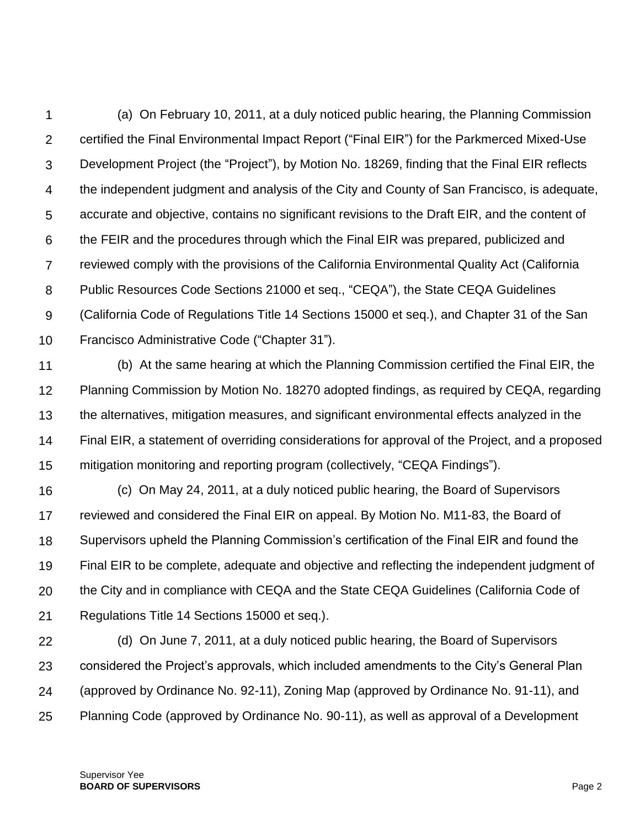1  $\mathcal{P}$ 3 4 5 6 7 8 9 10 (a) On February 10, 2011, at a duly noticed public hearing, the Planning Commission certified the Final Environmental Impact Report ("Final EIR") for the Parkmerced Mixed-Use Development Project (the "Project"), by Motion No. 18269, finding that the Final EIR reflects the independent judgment and analysis of the City and County of San Francisco, is adequate, accurate and objective, contains no significant revisions to the Draft EIR, and the content of the FEIR and the procedures through which the Final EIR was prepared, publicized and reviewed comply with the provisions of the California Environmental Quality Act (California Public Resources Code Sections 21000 et seq., "CEQA"), the State CEQA Guidelines (California Code of Regulations Title 14 Sections 15000 et seq.), and Chapter 31 of the San Francisco Administrative Code ("Chapter 31").

11 12 13 14 15 (b) At the same hearing at which the Planning Commission certified the Final EIR, the Planning Commission by Motion No. 18270 adopted findings, as required by CEQA, regarding the alternatives, mitigation measures, and significant environmental effects analyzed in the Final EIR, a statement of overriding considerations for approval of the Project, and a proposed mitigation monitoring and reporting program (collectively, "CEQA Findings").

16 17 18 19 20 21 (c) On May 24, 2011, at a duly noticed public hearing, the Board of Supervisors reviewed and considered the Final EIR on appeal. By Motion No. M11-83, the Board of Supervisors upheld the Planning Commission's certification of the Final EIR and found the Final EIR to be complete, adequate and objective and reflecting the independent judgment of the City and in compliance with CEQA and the State CEQA Guidelines (California Code of Regulations Title 14 Sections 15000 et seq.).

22 23 24 25 (d) On June 7, 2011, at a duly noticed public hearing, the Board of Supervisors considered the Project's approvals, which included amendments to the City's General Plan (approved by Ordinance No. 92-11), Zoning Map (approved by Ordinance No. 91-11), and Planning Code (approved by Ordinance No. 90-11), as well as approval of a Development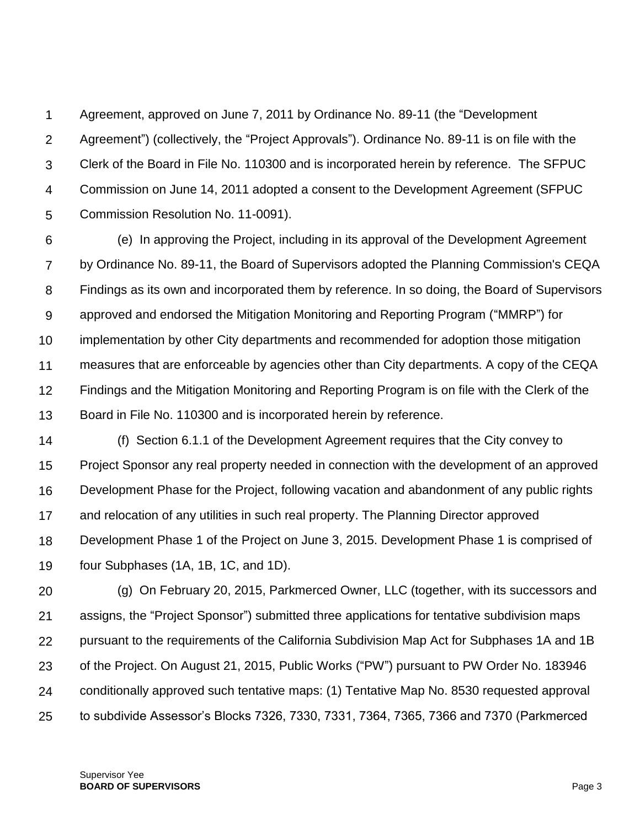1  $\mathcal{P}$ 3 4 5 Agreement, approved on June 7, 2011 by Ordinance No. 89-11 (the "Development Agreement") (collectively, the "Project Approvals"). Ordinance No. 89-11 is on file with the Clerk of the Board in File No. 110300 and is incorporated herein by reference. The SFPUC Commission on June 14, 2011 adopted a consent to the Development Agreement (SFPUC Commission Resolution No. 11-0091).

6 7 8 9 10 11 12 13 (e) In approving the Project, including in its approval of the Development Agreement by Ordinance No. 89-11, the Board of Supervisors adopted the Planning Commission's CEQA Findings as its own and incorporated them by reference. In so doing, the Board of Supervisors approved and endorsed the Mitigation Monitoring and Reporting Program ("MMRP") for implementation by other City departments and recommended for adoption those mitigation measures that are enforceable by agencies other than City departments. A copy of the CEQA Findings and the Mitigation Monitoring and Reporting Program is on file with the Clerk of the Board in File No. 110300 and is incorporated herein by reference.

14 15 16 17 18 19 (f) Section 6.1.1 of the Development Agreement requires that the City convey to Project Sponsor any real property needed in connection with the development of an approved Development Phase for the Project, following vacation and abandonment of any public rights and relocation of any utilities in such real property. The Planning Director approved Development Phase 1 of the Project on June 3, 2015. Development Phase 1 is comprised of four Subphases (1A, 1B, 1C, and 1D).

20 21 22 23 24 25 (g) On February 20, 2015, Parkmerced Owner, LLC (together, with its successors and assigns, the "Project Sponsor") submitted three applications for tentative subdivision maps pursuant to the requirements of the California Subdivision Map Act for Subphases 1A and 1B of the Project. On August 21, 2015, Public Works ("PW") pursuant to PW Order No. 183946 conditionally approved such tentative maps: (1) Tentative Map No. 8530 requested approval to subdivide Assessor's Blocks 7326, 7330, 7331, 7364, 7365, 7366 and 7370 (Parkmerced

Supervisor Yee **BOARD OF SUPERVISORS** Page 3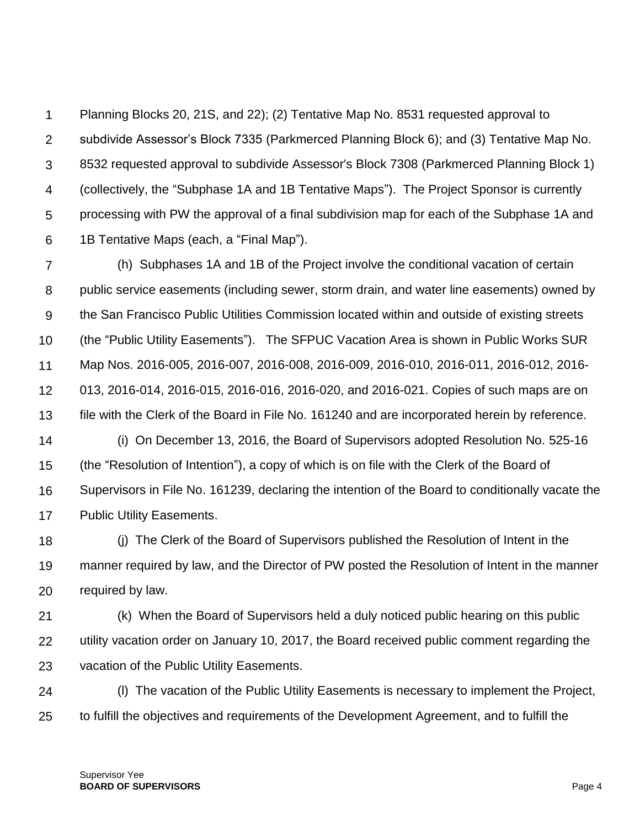1  $\mathcal{P}$ 3 4 5 6 Planning Blocks 20, 21S, and 22); (2) Tentative Map No. 8531 requested approval to subdivide Assessor's Block 7335 (Parkmerced Planning Block 6); and (3) Tentative Map No. 8532 requested approval to subdivide Assessor's Block 7308 (Parkmerced Planning Block 1) (collectively, the "Subphase 1A and 1B Tentative Maps"). The Project Sponsor is currently processing with PW the approval of a final subdivision map for each of the Subphase 1A and 1B Tentative Maps (each, a "Final Map").

7 8 9 10 11 12 13 (h) Subphases 1A and 1B of the Project involve the conditional vacation of certain public service easements (including sewer, storm drain, and water line easements) owned by the San Francisco Public Utilities Commission located within and outside of existing streets (the "Public Utility Easements"). The SFPUC Vacation Area is shown in Public Works SUR Map Nos. 2016-005, 2016-007, 2016-008, 2016-009, 2016-010, 2016-011, 2016-012, 2016- 013, 2016-014, 2016-015, 2016-016, 2016-020, and 2016-021. Copies of such maps are on file with the Clerk of the Board in File No. 161240 and are incorporated herein by reference.

14 15 16 17 (i) On December 13, 2016, the Board of Supervisors adopted Resolution No. 525-16 (the "Resolution of Intention"), a copy of which is on file with the Clerk of the Board of Supervisors in File No. 161239, declaring the intention of the Board to conditionally vacate the Public Utility Easements.

18 19 20 (j) The Clerk of the Board of Supervisors published the Resolution of Intent in the manner required by law, and the Director of PW posted the Resolution of Intent in the manner required by law.

21 22 23 (k) When the Board of Supervisors held a duly noticed public hearing on this public utility vacation order on January 10, 2017, the Board received public comment regarding the vacation of the Public Utility Easements.

24 25 (l) The vacation of the Public Utility Easements is necessary to implement the Project, to fulfill the objectives and requirements of the Development Agreement, and to fulfill the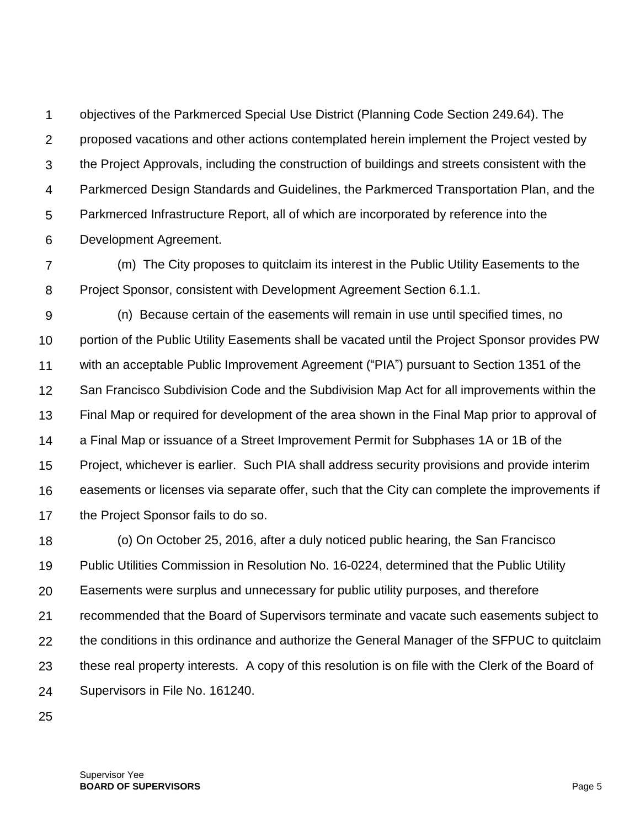1  $\mathcal{P}$ 3 4 5 6 objectives of the Parkmerced Special Use District (Planning Code Section 249.64). The proposed vacations and other actions contemplated herein implement the Project vested by the Project Approvals, including the construction of buildings and streets consistent with the Parkmerced Design Standards and Guidelines, the Parkmerced Transportation Plan, and the Parkmerced Infrastructure Report, all of which are incorporated by reference into the Development Agreement.

7 8 (m) The City proposes to quitclaim its interest in the Public Utility Easements to the Project Sponsor, consistent with Development Agreement Section 6.1.1.

9 10 11 12 13 14 15 16 17 (n) Because certain of the easements will remain in use until specified times, no portion of the Public Utility Easements shall be vacated until the Project Sponsor provides PW with an acceptable Public Improvement Agreement ("PIA") pursuant to Section 1351 of the San Francisco Subdivision Code and the Subdivision Map Act for all improvements within the Final Map or required for development of the area shown in the Final Map prior to approval of a Final Map or issuance of a Street Improvement Permit for Subphases 1A or 1B of the Project, whichever is earlier. Such PIA shall address security provisions and provide interim easements or licenses via separate offer, such that the City can complete the improvements if the Project Sponsor fails to do so.

18 19 20 21 22 23 24 (o) On October 25, 2016, after a duly noticed public hearing, the San Francisco Public Utilities Commission in Resolution No. 16-0224, determined that the Public Utility Easements were surplus and unnecessary for public utility purposes, and therefore recommended that the Board of Supervisors terminate and vacate such easements subject to the conditions in this ordinance and authorize the General Manager of the SFPUC to quitclaim these real property interests. A copy of this resolution is on file with the Clerk of the Board of Supervisors in File No. 161240.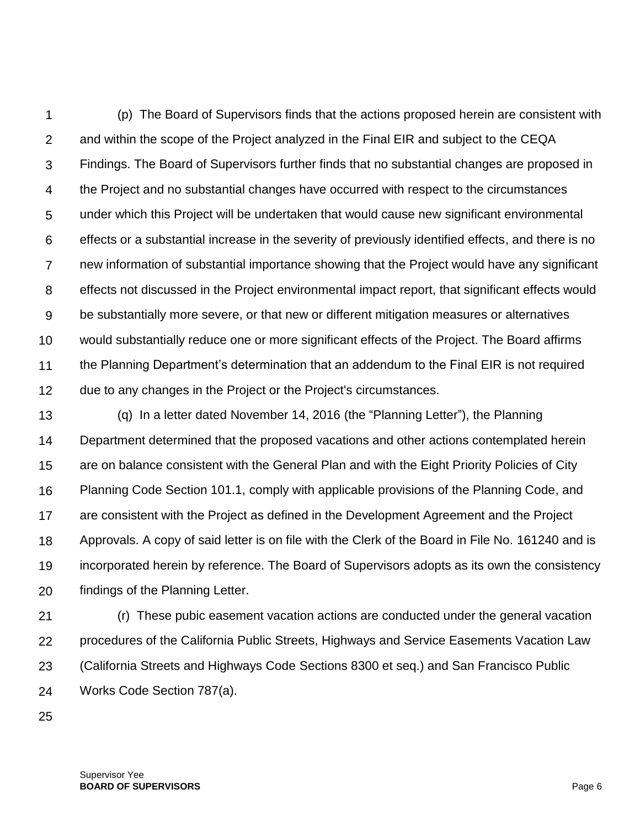1  $\mathcal{P}$ 3 4 5 6 7 8 9 10 11 12 (p) The Board of Supervisors finds that the actions proposed herein are consistent with and within the scope of the Project analyzed in the Final EIR and subject to the CEQA Findings. The Board of Supervisors further finds that no substantial changes are proposed in the Project and no substantial changes have occurred with respect to the circumstances under which this Project will be undertaken that would cause new significant environmental effects or a substantial increase in the severity of previously identified effects, and there is no new information of substantial importance showing that the Project would have any significant effects not discussed in the Project environmental impact report, that significant effects would be substantially more severe, or that new or different mitigation measures or alternatives would substantially reduce one or more significant effects of the Project. The Board affirms the Planning Department's determination that an addendum to the Final EIR is not required due to any changes in the Project or the Project's circumstances.

13 14 15 16 17 18 19 20 (q) In a letter dated November 14, 2016 (the "Planning Letter"), the Planning Department determined that the proposed vacations and other actions contemplated herein are on balance consistent with the General Plan and with the Eight Priority Policies of City Planning Code Section 101.1, comply with applicable provisions of the Planning Code, and are consistent with the Project as defined in the Development Agreement and the Project Approvals. A copy of said letter is on file with the Clerk of the Board in File No. 161240 and is incorporated herein by reference. The Board of Supervisors adopts as its own the consistency findings of the Planning Letter.

21 22 23 24 (r) These pubic easement vacation actions are conducted under the general vacation procedures of the California Public Streets, Highways and Service Easements Vacation Law (California Streets and Highways Code Sections 8300 et seq.) and San Francisco Public Works Code Section 787(a).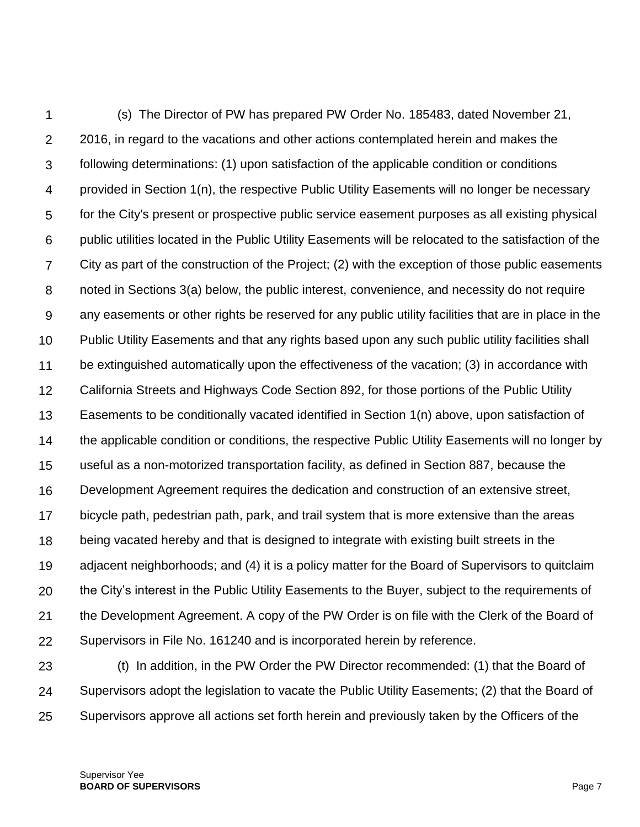1  $\mathcal{P}$ 3 4 5 6 7 8 9 10 11 12 13 14 15 16 17 18 19 20 21 22 (s) The Director of PW has prepared PW Order No. 185483, dated November 21, 2016, in regard to the vacations and other actions contemplated herein and makes the following determinations: (1) upon satisfaction of the applicable condition or conditions provided in Section 1(n), the respective Public Utility Easements will no longer be necessary for the City's present or prospective public service easement purposes as all existing physical public utilities located in the Public Utility Easements will be relocated to the satisfaction of the City as part of the construction of the Project; (2) with the exception of those public easements noted in Sections 3(a) below, the public interest, convenience, and necessity do not require any easements or other rights be reserved for any public utility facilities that are in place in the Public Utility Easements and that any rights based upon any such public utility facilities shall be extinguished automatically upon the effectiveness of the vacation; (3) in accordance with California Streets and Highways Code Section 892, for those portions of the Public Utility Easements to be conditionally vacated identified in Section 1(n) above, upon satisfaction of the applicable condition or conditions, the respective Public Utility Easements will no longer by useful as a non-motorized transportation facility, as defined in Section 887, because the Development Agreement requires the dedication and construction of an extensive street, bicycle path, pedestrian path, park, and trail system that is more extensive than the areas being vacated hereby and that is designed to integrate with existing built streets in the adjacent neighborhoods; and (4) it is a policy matter for the Board of Supervisors to quitclaim the City's interest in the Public Utility Easements to the Buyer, subject to the requirements of the Development Agreement. A copy of the PW Order is on file with the Clerk of the Board of Supervisors in File No. 161240 and is incorporated herein by reference.

23 24 25 (t) In addition, in the PW Order the PW Director recommended: (1) that the Board of Supervisors adopt the legislation to vacate the Public Utility Easements; (2) that the Board of Supervisors approve all actions set forth herein and previously taken by the Officers of the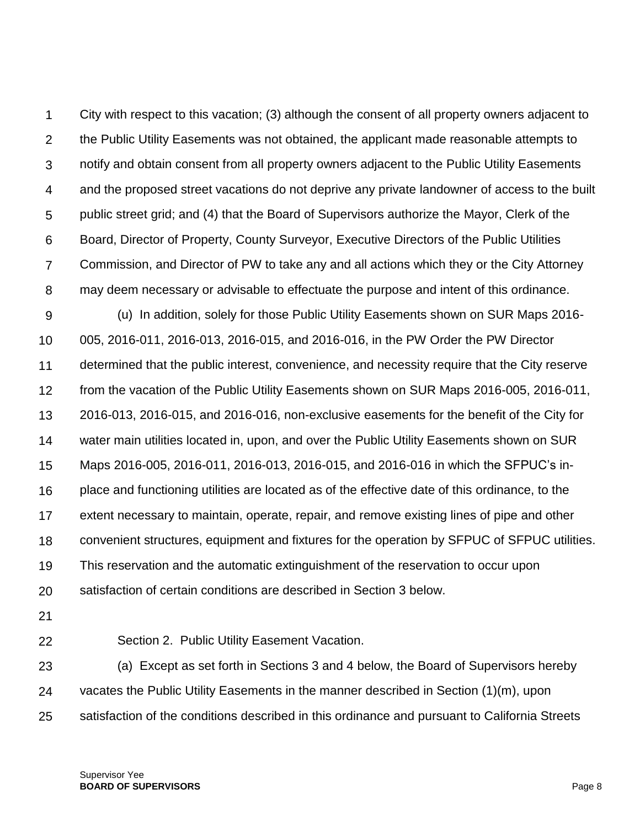1  $\mathcal{P}$ 3 4 5 6 7 8 City with respect to this vacation; (3) although the consent of all property owners adjacent to the Public Utility Easements was not obtained, the applicant made reasonable attempts to notify and obtain consent from all property owners adjacent to the Public Utility Easements and the proposed street vacations do not deprive any private landowner of access to the built public street grid; and (4) that the Board of Supervisors authorize the Mayor, Clerk of the Board, Director of Property, County Surveyor, Executive Directors of the Public Utilities Commission, and Director of PW to take any and all actions which they or the City Attorney may deem necessary or advisable to effectuate the purpose and intent of this ordinance.

9 10 11 12 13 14 15 16 17 18 19 20 (u) In addition, solely for those Public Utility Easements shown on SUR Maps 2016- 005, 2016-011, 2016-013, 2016-015, and 2016-016, in the PW Order the PW Director determined that the public interest, convenience, and necessity require that the City reserve from the vacation of the Public Utility Easements shown on SUR Maps 2016-005, 2016-011, 2016-013, 2016-015, and 2016-016, non-exclusive easements for the benefit of the City for water main utilities located in, upon, and over the Public Utility Easements shown on SUR Maps 2016-005, 2016-011, 2016-013, 2016-015, and 2016-016 in which the SFPUC's inplace and functioning utilities are located as of the effective date of this ordinance, to the extent necessary to maintain, operate, repair, and remove existing lines of pipe and other convenient structures, equipment and fixtures for the operation by SFPUC of SFPUC utilities. This reservation and the automatic extinguishment of the reservation to occur upon satisfaction of certain conditions are described in Section 3 below.

- 21
- 22

Section 2. Public Utility Easement Vacation.

23 24 25 (a) Except as set forth in Sections 3 and 4 below, the Board of Supervisors hereby vacates the Public Utility Easements in the manner described in Section (1)(m), upon satisfaction of the conditions described in this ordinance and pursuant to California Streets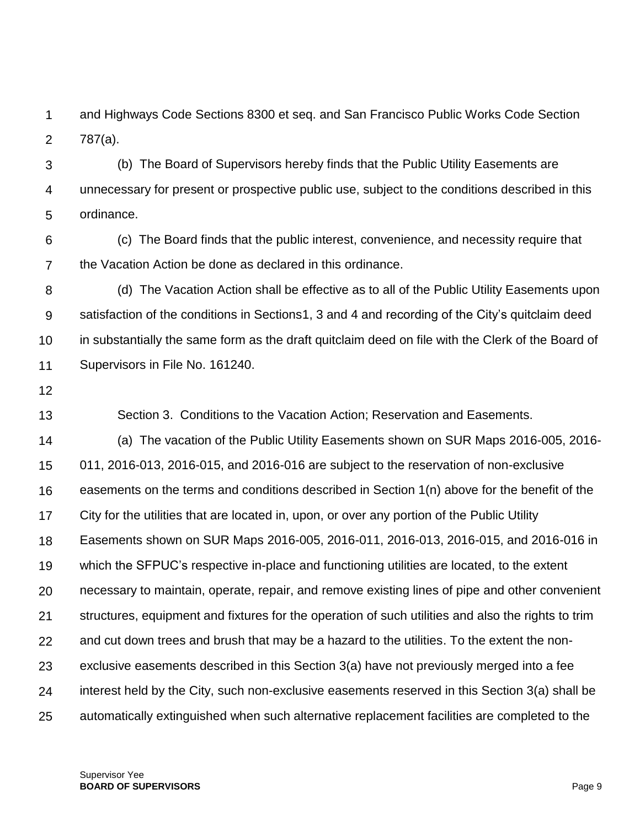1  $\mathcal{P}$ and Highways Code Sections 8300 et seq. and San Francisco Public Works Code Section 787(a).

3 4 5 (b) The Board of Supervisors hereby finds that the Public Utility Easements are unnecessary for present or prospective public use, subject to the conditions described in this ordinance.

6 7 (c) The Board finds that the public interest, convenience, and necessity require that the Vacation Action be done as declared in this ordinance.

8 9 10 11 (d) The Vacation Action shall be effective as to all of the Public Utility Easements upon satisfaction of the conditions in Sections1, 3 and 4 and recording of the City's quitclaim deed in substantially the same form as the draft quitclaim deed on file with the Clerk of the Board of Supervisors in File No. 161240.

12

13 Section 3. Conditions to the Vacation Action; Reservation and Easements.

14 15 16 17 18 19 20 21 22 23 24 25 (a) The vacation of the Public Utility Easements shown on SUR Maps 2016-005, 2016- 011, 2016-013, 2016-015, and 2016-016 are subject to the reservation of non-exclusive easements on the terms and conditions described in Section 1(n) above for the benefit of the City for the utilities that are located in, upon, or over any portion of the Public Utility Easements shown on SUR Maps 2016-005, 2016-011, 2016-013, 2016-015, and 2016-016 in which the SFPUC's respective in-place and functioning utilities are located, to the extent necessary to maintain, operate, repair, and remove existing lines of pipe and other convenient structures, equipment and fixtures for the operation of such utilities and also the rights to trim and cut down trees and brush that may be a hazard to the utilities. To the extent the nonexclusive easements described in this Section 3(a) have not previously merged into a fee interest held by the City, such non-exclusive easements reserved in this Section 3(a) shall be automatically extinguished when such alternative replacement facilities are completed to the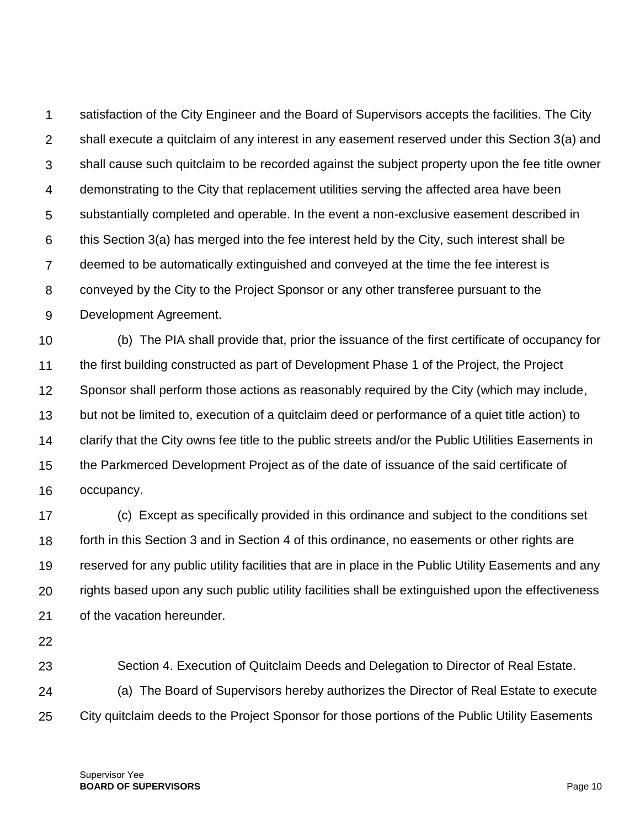1  $\mathcal{P}$ 3 4 5 6 7 8 9 satisfaction of the City Engineer and the Board of Supervisors accepts the facilities. The City shall execute a quitclaim of any interest in any easement reserved under this Section 3(a) and shall cause such quitclaim to be recorded against the subject property upon the fee title owner demonstrating to the City that replacement utilities serving the affected area have been substantially completed and operable. In the event a non-exclusive easement described in this Section 3(a) has merged into the fee interest held by the City, such interest shall be deemed to be automatically extinguished and conveyed at the time the fee interest is conveyed by the City to the Project Sponsor or any other transferee pursuant to the Development Agreement.

10 11 12 13 14 15 16 (b) The PIA shall provide that, prior the issuance of the first certificate of occupancy for the first building constructed as part of Development Phase 1 of the Project, the Project Sponsor shall perform those actions as reasonably required by the City (which may include, but not be limited to, execution of a quitclaim deed or performance of a quiet title action) to clarify that the City owns fee title to the public streets and/or the Public Utilities Easements in the Parkmerced Development Project as of the date of issuance of the said certificate of occupancy.

17 18 19 20 21 (c) Except as specifically provided in this ordinance and subject to the conditions set forth in this Section 3 and in Section 4 of this ordinance, no easements or other rights are reserved for any public utility facilities that are in place in the Public Utility Easements and any rights based upon any such public utility facilities shall be extinguished upon the effectiveness of the vacation hereunder.

22

23 Section 4. Execution of Quitclaim Deeds and Delegation to Director of Real Estate.

24 25 (a) The Board of Supervisors hereby authorizes the Director of Real Estate to execute City quitclaim deeds to the Project Sponsor for those portions of the Public Utility Easements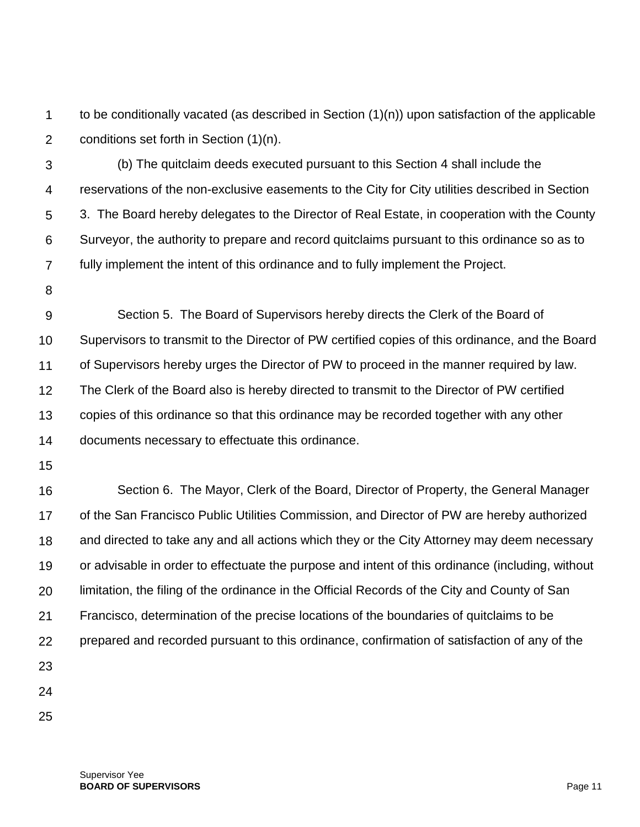1  $\mathcal{P}$ to be conditionally vacated (as described in Section (1)(n)) upon satisfaction of the applicable conditions set forth in Section (1)(n).

3 4 5 6 7 (b) The quitclaim deeds executed pursuant to this Section 4 shall include the reservations of the non-exclusive easements to the City for City utilities described in Section 3. The Board hereby delegates to the Director of Real Estate, in cooperation with the County Surveyor, the authority to prepare and record quitclaims pursuant to this ordinance so as to fully implement the intent of this ordinance and to fully implement the Project.

8

9 10 11 12 13 14 Section 5. The Board of Supervisors hereby directs the Clerk of the Board of Supervisors to transmit to the Director of PW certified copies of this ordinance, and the Board of Supervisors hereby urges the Director of PW to proceed in the manner required by law. The Clerk of the Board also is hereby directed to transmit to the Director of PW certified copies of this ordinance so that this ordinance may be recorded together with any other documents necessary to effectuate this ordinance.

15

16 17 18 19 20 21 22 23 24 Section 6. The Mayor, Clerk of the Board, Director of Property, the General Manager of the San Francisco Public Utilities Commission, and Director of PW are hereby authorized and directed to take any and all actions which they or the City Attorney may deem necessary or advisable in order to effectuate the purpose and intent of this ordinance (including, without limitation, the filing of the ordinance in the Official Records of the City and County of San Francisco, determination of the precise locations of the boundaries of quitclaims to be prepared and recorded pursuant to this ordinance, confirmation of satisfaction of any of the